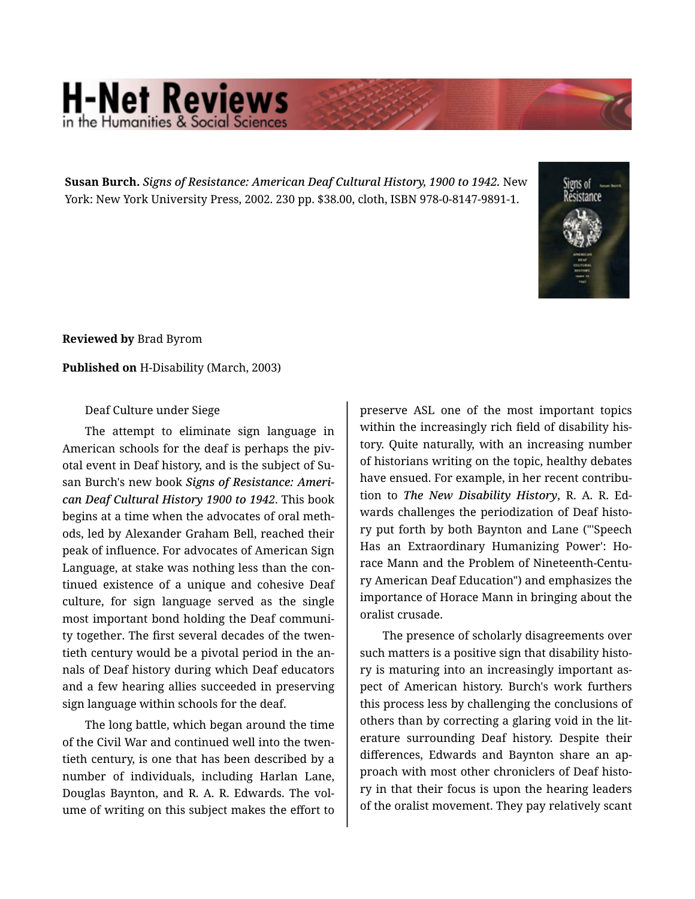## **H-Net Reviews**

**Susan Burch.** *Signs of Resistance: American Deaf Cultural History, 1900 to 1942.* New York: New York University Press, 2002. 230 pp. \$38.00, cloth, ISBN 978-0-8147-9891-1.



**Reviewed by** Brad Byrom

## **Published on** H-Disability (March, 2003)

## Deaf Culture under Siege

The attempt to eliminate sign language in American schools for the deaf is perhaps the piv‐ otal event in Deaf history, and is the subject of Su‐ san Burch's new book *Signs of Resistance: Ameri‐ can Deaf Cultural History 1900 to 1942*. This book begins at a time when the advocates of oral meth‐ ods, led by Alexander Graham Bell, reached their peak of influence. For advocates of American Sign Language, at stake was nothing less than the con‐ tinued existence of a unique and cohesive Deaf culture, for sign language served as the single most important bond holding the Deaf communi‐ ty together. The first several decades of the twen‐ tieth century would be a pivotal period in the an‐ nals of Deaf history during which Deaf educators and a few hearing allies succeeded in preserving sign language within schools for the deaf.

The long battle, which began around the time of the Civil War and continued well into the twen‐ tieth century, is one that has been described by a number of individuals, including Harlan Lane, Douglas Baynton, and R. A. R. Edwards. The vol‐ ume of writing on this subject makes the effort to

preserve ASL one of the most important topics within the increasingly rich field of disability his‐ tory. Quite naturally, with an increasing number of historians writing on the topic, healthy debates have ensued. For example, in her recent contribu‐ tion to *The New Disability History*, R. A. R. Ed‐ wards challenges the periodization of Deaf histo‐ ry put forth by both Baynton and Lane ("'Speech Has an Extraordinary Humanizing Power': Ho‐ race Mann and the Problem of Nineteenth-Centu‐ ry American Deaf Education") and emphasizes the importance of Horace Mann in bringing about the oralist crusade.

The presence of scholarly disagreements over such matters is a positive sign that disability histo‐ ry is maturing into an increasingly important as‐ pect of American history. Burch's work furthers this process less by challenging the conclusions of others than by correcting a glaring void in the lit‐ erature surrounding Deaf history. Despite their differences, Edwards and Baynton share an ap‐ proach with most other chroniclers of Deaf histo‐ ry in that their focus is upon the hearing leaders of the oralist movement. They pay relatively scant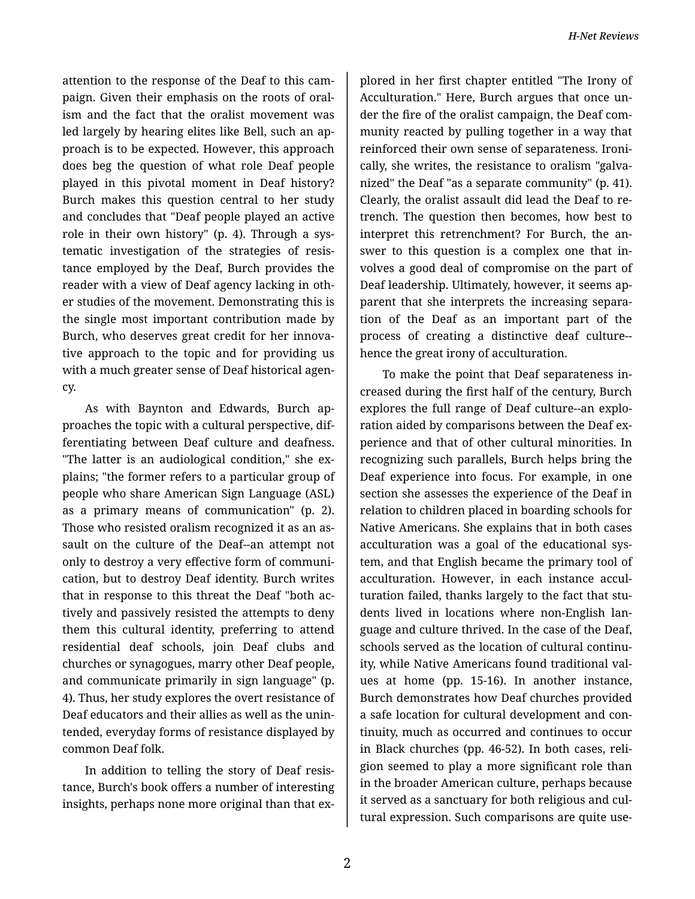attention to the response of the Deaf to this cam‐ paign. Given their emphasis on the roots of oral‐ ism and the fact that the oralist movement was led largely by hearing elites like Bell, such an ap‐ proach is to be expected. However, this approach does beg the question of what role Deaf people played in this pivotal moment in Deaf history? Burch makes this question central to her study and concludes that "Deaf people played an active role in their own history" (p. 4). Through a sys‐ tematic investigation of the strategies of resis‐ tance employed by the Deaf, Burch provides the reader with a view of Deaf agency lacking in oth‐ er studies of the movement. Demonstrating this is the single most important contribution made by Burch, who deserves great credit for her innova‐ tive approach to the topic and for providing us with a much greater sense of Deaf historical agency.

As with Baynton and Edwards, Burch ap‐ proaches the topic with a cultural perspective, dif‐ ferentiating between Deaf culture and deafness. "The latter is an audiological condition," she ex‐ plains; "the former refers to a particular group of people who share American Sign Language (ASL) as a primary means of communication" (p. 2). Those who resisted oralism recognized it as an as‐ sault on the culture of the Deaf--an attempt not only to destroy a very effective form of communi‐ cation, but to destroy Deaf identity. Burch writes that in response to this threat the Deaf "both ac‐ tively and passively resisted the attempts to deny them this cultural identity, preferring to attend residential deaf schools, join Deaf clubs and churches or synagogues, marry other Deaf people, and communicate primarily in sign language" (p. 4). Thus, her study explores the overt resistance of Deaf educators and their allies as well as the unin‐ tended, everyday forms of resistance displayed by common Deaf folk.

In addition to telling the story of Deaf resis‐ tance, Burch's book offers a number of interesting insights, perhaps none more original than that ex-

plored in her first chapter entitled "The Irony of Acculturation." Here, Burch argues that once un‐ der the fire of the oralist campaign, the Deaf com‐ munity reacted by pulling together in a way that reinforced their own sense of separateness. Ironi‐ cally, she writes, the resistance to oralism "galva‐ nized" the Deaf "as a separate community" (p. 41). Clearly, the oralist assault did lead the Deaf to re‐ trench. The question then becomes, how best to interpret this retrenchment? For Burch, the an‐ swer to this question is a complex one that in‐ volves a good deal of compromise on the part of Deaf leadership. Ultimately, however, it seems ap‐ parent that she interprets the increasing separa‐ tion of the Deaf as an important part of the process of creating a distinctive deaf culture- hence the great irony of acculturation.

To make the point that Deaf separateness in‐ creased during the first half of the century, Burch explores the full range of Deaf culture--an explo‐ ration aided by comparisons between the Deaf ex‐ perience and that of other cultural minorities. In recognizing such parallels, Burch helps bring the Deaf experience into focus. For example, in one section she assesses the experience of the Deaf in relation to children placed in boarding schools for Native Americans. She explains that in both cases acculturation was a goal of the educational sys‐ tem, and that English became the primary tool of acculturation. However, in each instance accul‐ turation failed, thanks largely to the fact that stu‐ dents lived in locations where non-English lan‐ guage and culture thrived. In the case of the Deaf, schools served as the location of cultural continu‐ ity, while Native Americans found traditional val‐ ues at home (pp. 15-16). In another instance, Burch demonstrates how Deaf churches provided a safe location for cultural development and con‐ tinuity, much as occurred and continues to occur in Black churches (pp. 46-52). In both cases, reli‐ gion seemed to play a more significant role than in the broader American culture, perhaps because it served as a sanctuary for both religious and cul‐ tural expression. Such comparisons are quite use‐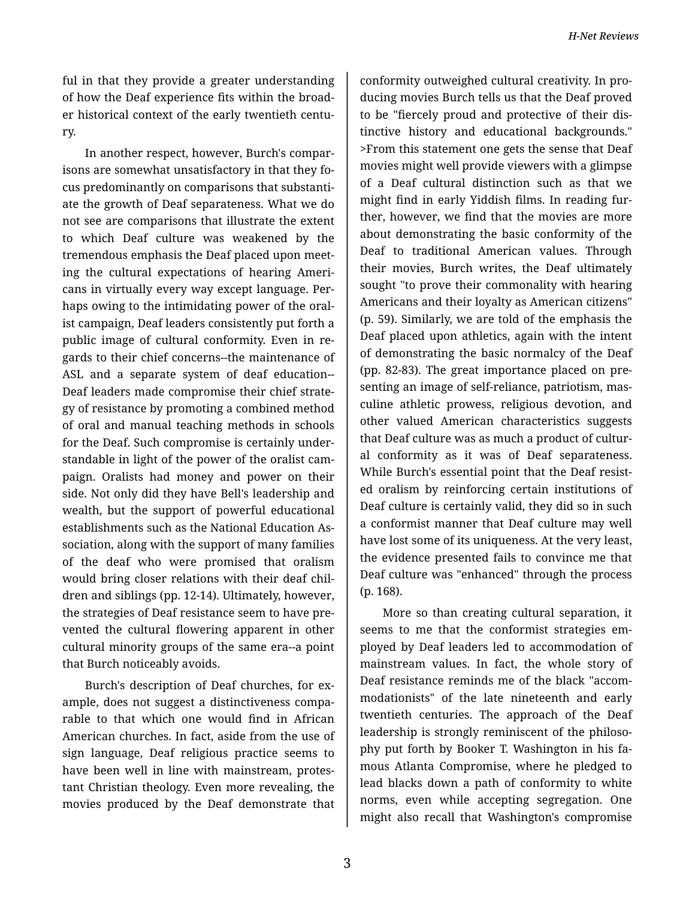ful in that they provide a greater understanding of how the Deaf experience fits within the broad‐ er historical context of the early twentieth centu‐ ry.

In another respect, however, Burch's compar‐ isons are somewhat unsatisfactory in that they focus predominantly on comparisons that substanti‐ ate the growth of Deaf separateness. What we do not see are comparisons that illustrate the extent to which Deaf culture was weakened by the tremendous emphasis the Deaf placed upon meet‐ ing the cultural expectations of hearing Ameri‐ cans in virtually every way except language. Per‐ haps owing to the intimidating power of the oral‐ ist campaign, Deaf leaders consistently put forth a public image of cultural conformity. Even in re‐ gards to their chief concerns--the maintenance of ASL and a separate system of deaf education-- Deaf leaders made compromise their chief strate‐ gy of resistance by promoting a combined method of oral and manual teaching methods in schools for the Deaf. Such compromise is certainly under‐ standable in light of the power of the oralist cam‐ paign. Oralists had money and power on their side. Not only did they have Bell's leadership and wealth, but the support of powerful educational establishments such as the National Education As‐ sociation, along with the support of many families of the deaf who were promised that oralism would bring closer relations with their deaf chil‐ dren and siblings (pp. 12-14). Ultimately, however, the strategies of Deaf resistance seem to have pre‐ vented the cultural flowering apparent in other cultural minority groups of the same era--a point that Burch noticeably avoids.

Burch's description of Deaf churches, for ex‐ ample, does not suggest a distinctiveness compa‐ rable to that which one would find in African American churches. In fact, aside from the use of sign language, Deaf religious practice seems to have been well in line with mainstream, protes‐ tant Christian theology. Even more revealing, the movies produced by the Deaf demonstrate that

conformity outweighed cultural creativity. In pro‐ ducing movies Burch tells us that the Deaf proved to be "fiercely proud and protective of their dis‐ tinctive history and educational backgrounds." >From this statement one gets the sense that Deaf movies might well provide viewers with a glimpse of a Deaf cultural distinction such as that we might find in early Yiddish films. In reading fur‐ ther, however, we find that the movies are more about demonstrating the basic conformity of the Deaf to traditional American values. Through their movies, Burch writes, the Deaf ultimately sought "to prove their commonality with hearing Americans and their loyalty as American citizens" (p. 59). Similarly, we are told of the emphasis the Deaf placed upon athletics, again with the intent of demonstrating the basic normalcy of the Deaf (pp. 82-83). The great importance placed on pre‐ senting an image of self-reliance, patriotism, mas‐ culine athletic prowess, religious devotion, and other valued American characteristics suggests that Deaf culture was as much a product of cultur‐ al conformity as it was of Deaf separateness. While Burch's essential point that the Deaf resisted oralism by reinforcing certain institutions of Deaf culture is certainly valid, they did so in such a conformist manner that Deaf culture may well have lost some of its uniqueness. At the very least, the evidence presented fails to convince me that Deaf culture was "enhanced" through the process (p. 168).

More so than creating cultural separation, it seems to me that the conformist strategies em‐ ployed by Deaf leaders led to accommodation of mainstream values. In fact, the whole story of Deaf resistance reminds me of the black "accom‐ modationists" of the late nineteenth and early twentieth centuries. The approach of the Deaf leadership is strongly reminiscent of the philosophy put forth by Booker T. Washington in his fa‐ mous Atlanta Compromise, where he pledged to lead blacks down a path of conformity to white norms, even while accepting segregation. One might also recall that Washington's compromise